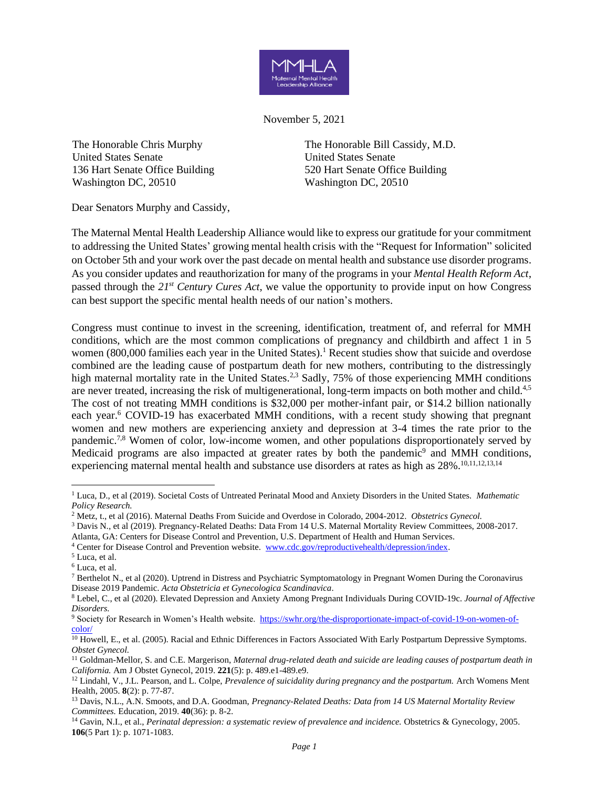

November 5, 2021

The Honorable Chris Murphy United States Senate 136 Hart Senate Office Building Washington DC, 20510

The Honorable Bill Cassidy, M.D. United States Senate 520 Hart Senate Office Building Washington DC, 20510

Dear Senators Murphy and Cassidy,

The Maternal Mental Health Leadership Alliance would like to express our gratitude for your commitment to addressing the United States' growing mental health crisis with the "Request for Information" solicited on October 5th and your work over the past decade on mental health and substance use disorder programs. As you consider updates and reauthorization for many of the programs in your *Mental Health Reform Act*, passed through the *21st Century Cures Act*, we value the opportunity to provide input on how Congress can best support the specific mental health needs of our nation's mothers.

Congress must continue to invest in the screening, identification, treatment of, and referral for MMH conditions, which are the most common complications of pregnancy and childbirth and affect 1 in 5 women (800,000 families each year in the United States).<sup>1</sup> Recent studies show that suicide and overdose combined are the leading cause of postpartum death for new mothers, contributing to the distressingly high maternal mortality rate in the United States.<sup>2,3</sup> Sadly, 75% of those experiencing MMH conditions are never treated, increasing the risk of multigenerational, long-term impacts on both mother and child.<sup>4,5</sup> The cost of not treating MMH conditions is \$32,000 per mother-infant pair, or \$14.2 billion nationally each year.<sup>6</sup> COVID-19 has exacerbated MMH conditions, with a recent study showing that pregnant women and new mothers are experiencing anxiety and depression at 3-4 times the rate prior to the pandemic.7,8 Women of color, low-income women, and other populations disproportionately served by Medicaid programs are also impacted at greater rates by both the pandemic<sup>9</sup> and MMH conditions, experiencing maternal mental health and substance use disorders at rates as high as 28%.<sup>10,11,12,13,14</sup>

<sup>1</sup> Luca, D., et al (2019). Societal Costs of Untreated Perinatal Mood and Anxiety Disorders in the United States. *Mathematic Policy Research.*

<sup>2</sup> Metz, t., et al (2016). Maternal Deaths From Suicide and Overdose in Colorado, 2004-2012. *Obstetrics Gynecol.*

<sup>3</sup> Davis N., et al (2019). Pregnancy-Related Deaths: Data From 14 U.S. Maternal Mortality Review Committees, 2008-2017.

Atlanta, GA: Centers for Disease Control and Prevention, U.S. Department of Health and Human Services.

<sup>4</sup> Center for Disease Control and Prevention website. [www.cdc.gov/reproductivehealth/depression/index.](http://www.cdc.gov/reproductivehealth/depression/index)

<sup>5</sup> Luca, et al.

<sup>6</sup> Luca, et al.

<sup>7</sup> Berthelot N., [et al \(2020\). Uptrend in Distress and Psychiatric Symptomatology in Pregnant Women During the Coronavirus](https://doi.org/10.1111/aogs.13925)  [Disease 2019](https://doi.org/10.1111/aogs.13925) [Pandemic.](https://doi.org/10.1111/aogs.13925) *[Acta Obstetricia et Gynecologica Scandinavica](https://doi.org/10.1111/aogs.13925)*.

<sup>8</sup> Lebel, C., et al (2020). Elevated Depression and Anxiety Among Pregnant Individuals During COVID-19c. *Journal of Affective Disorders.*

<sup>&</sup>lt;sup>9</sup> Society for Research in Women's Health website. [https://swhr.org/the-disproportionate-impact-of-covid-19-on-women-of](https://swhr.org/the-disproportionate-impact-of-covid-19-on-women-of-color/)[color/](https://swhr.org/the-disproportionate-impact-of-covid-19-on-women-of-color/)

 $\overline{^{10}}$  Howell, E., et al. (2005). Racial and Ethnic Differences in Factors Associated With Early Postpartum Depressive Symptoms. *Obstet Gynecol.*

<sup>11</sup> Goldman-Mellor, S. and C.E. Margerison, *Maternal drug-related death and suicide are leading causes of postpartum death in California.* Am J Obstet Gynecol, 2019. **221**(5): p. 489.e1-489.e9.

<sup>12</sup> Lindahl, V., J.L. Pearson, and L. Colpe, *Prevalence of suicidality during pregnancy and the postpartum.* Arch Womens Ment Health, 2005. **8**(2): p. 77-87.

<sup>13</sup> Davis, N.L., A.N. Smoots, and D.A. Goodman, *Pregnancy-Related Deaths: Data from 14 US Maternal Mortality Review Committees.* Education, 2019. **40**(36): p. 8-2.

<sup>14</sup> Gavin, N.I., et al., *Perinatal depression: a systematic review of prevalence and incidence.* Obstetrics & Gynecology, 2005. **106**(5 Part 1): p. 1071-1083.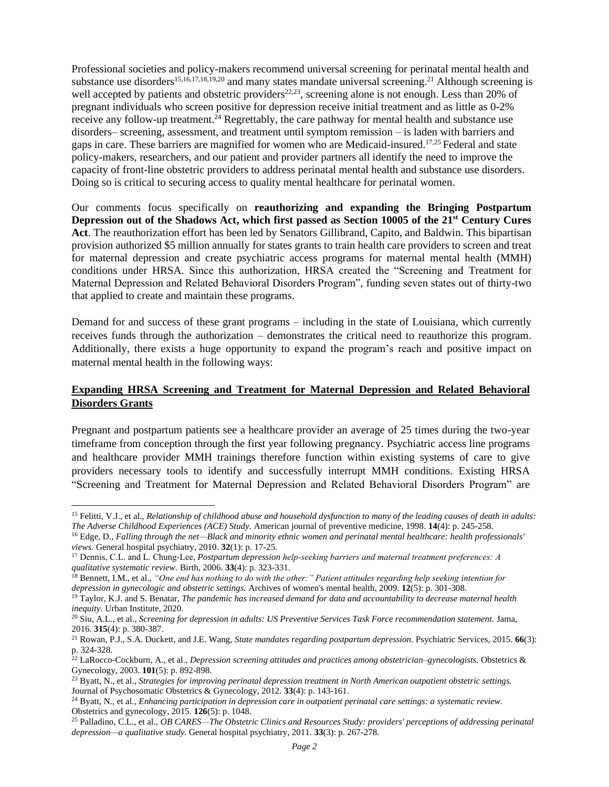Professional societies and policy-makers recommend universal screening for perinatal mental health and substance use disorders<sup>15,16,17,18,19,20</sup> and many states mandate universal screening.<sup>21</sup> Although screening is well accepted by patients and obstetric providers<sup>22,23</sup>, screening alone is not enough. Less than 20% of pregnant individuals who screen positive for depression receive initial treatment and as little as 0-2% receive any follow-up treatment.<sup>24</sup> Regrettably, the care pathway for mental health and substance use disorders– screening, assessment, and treatment until symptom remission – is laden with barriers and gaps in care. These barriers are magnified for women who are Medicaid-insured.<sup>17,25</sup> Federal and state policy-makers, researchers, and our patient and provider partners all identify the need to improve the capacity of front-line obstetric providers to address perinatal mental health and substance use disorders. Doing so is critical to securing access to quality mental healthcare for perinatal women.

Our comments focus specifically on **reauthorizing and expanding the Bringing Postpartum Depression out of the Shadows Act, which first passed as Section 10005 of the 21st Century Cures Act**. The reauthorization effort has been led by Senators Gillibrand, Capito, and Baldwin. This bipartisan provision authorized \$5 million annually for states grants to train health care providers to screen and treat for maternal depression and create psychiatric access programs for maternal mental health (MMH) conditions under HRSA. Since this authorization, HRSA created the "Screening and Treatment for Maternal Depression and Related Behavioral Disorders Program", funding seven states out of thirty-two that applied to create and maintain these programs.

Demand for and success of these grant programs – including in the state of Louisiana, which currently receives funds through the authorization – demonstrates the critical need to reauthorize this program. Additionally, there exists a huge opportunity to expand the program's reach and positive impact on maternal mental health in the following ways:

## **Expanding HRSA Screening and Treatment for Maternal Depression and Related Behavioral Disorders Grants**

Pregnant and postpartum patients see a healthcare provider an average of 25 times during the two-year timeframe from conception through the first year following pregnancy. Psychiatric access line programs and healthcare provider MMH trainings therefore function within existing systems of care to give providers necessary tools to identify and successfully interrupt MMH conditions. Existing HRSA "Screening and Treatment for Maternal Depression and Related Behavioral Disorders Program" are

<sup>15</sup> Felitti, V.J., et al., *Relationship of childhood abuse and household dysfunction to many of the leading causes of death in adults: The Adverse Childhood Experiences (ACE) Study.* American journal of preventive medicine, 1998. **14**(4): p. 245-258.

<sup>16</sup> Edge, D., *Falling through the net—Black and minority ethnic women and perinatal mental healthcare: health professionals' views.* General hospital psychiatry, 2010. **32**(1): p. 17-25.

<sup>&</sup>lt;sup>17</sup> Dennis, C.L. and L. Chung-Lee, *Postpartum depression help-seeking barriers and maternal treatment preferences: A qualitative systematic review.* Birth, 2006. **33**(4): p. 323-331.

<sup>18</sup> Bennett, I.M., et al., *"One end has nothing to do with the other:" Patient attitudes regarding help seeking intention for depression in gynecologic and obstetric settings.* Archives of women's mental health, 2009. **12**(5): p. 301-308.

<sup>19</sup> Taylor, K.J. and S. Benatar, *The pandemic has increased demand for data and accountability to decrease maternal health inequity.* Urban Institute, 2020.

<sup>20</sup> Siu, A.L., et al., *Screening for depression in adults: US Preventive Services Task Force recommendation statement.* Jama, 2016. **315**(4): p. 380-387.

<sup>21</sup> Rowan, P.J., S.A. Duckett, and J.E. Wang, *State mandates regarding postpartum depression.* Psychiatric Services, 2015. **66**(3): p. 324-328.

 $22$  LaRocco-Cockburn, A., et al., *Depression screening attitudes and practices among obstetrician–gynecologists*. Obstetrics  $\&$ Gynecology, 2003. **101**(5): p. 892-898.

<sup>23</sup> Byatt, N., et al., *Strategies for improving perinatal depression treatment in North American outpatient obstetric settings.* Journal of Psychosomatic Obstetrics & Gynecology, 2012. **33**(4): p. 143-161.

<sup>24</sup> Byatt, N., et al., *Enhancing participation in depression care in outpatient perinatal care settings: a systematic review.* Obstetrics and gynecology, 2015. **126**(5): p. 1048.

<sup>25</sup> Palladino, C.L., et al., *OB CARES—The Obstetric Clinics and Resources Study: providers' perceptions of addressing perinatal depression—a qualitative study.* General hospital psychiatry, 2011. **33**(3): p. 267-278.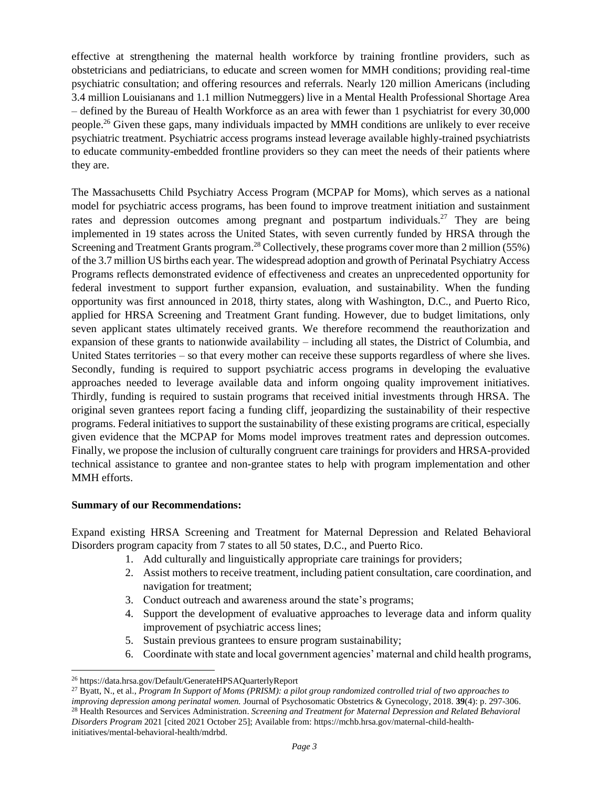effective at strengthening the maternal health workforce by training frontline providers, such as obstetricians and pediatricians, to educate and screen women for MMH conditions; providing real-time psychiatric consultation; and offering resources and referrals. Nearly 120 million Americans (including 3.4 million Louisianans and 1.1 million Nutmeggers) live in a Mental Health Professional Shortage Area – defined by the Bureau of Health Workforce as an area with fewer than 1 psychiatrist for every 30,000 people.<sup>26</sup> Given these gaps, many individuals impacted by MMH conditions are unlikely to ever receive psychiatric treatment. Psychiatric access programs instead leverage available highly-trained psychiatrists to educate community-embedded frontline providers so they can meet the needs of their patients where they are.

The Massachusetts Child Psychiatry Access Program (MCPAP for Moms), which serves as a national model for psychiatric access programs, has been found to improve treatment initiation and sustainment rates and depression outcomes among pregnant and postpartum individuals.<sup>27</sup> They are being implemented in 19 states across the United States, with seven currently funded by HRSA through the Screening and Treatment Grants program.<sup>28</sup> Collectively, these programs cover more than 2 million (55%) of the 3.7 million US births each year. The widespread adoption and growth of Perinatal Psychiatry Access Programs reflects demonstrated evidence of effectiveness and creates an unprecedented opportunity for federal investment to support further expansion, evaluation, and sustainability. When the funding opportunity was first announced in 2018, thirty states, along with Washington, D.C., and Puerto Rico, applied for HRSA Screening and Treatment Grant funding. However, due to budget limitations, only seven applicant states ultimately received grants. We therefore recommend the reauthorization and expansion of these grants to nationwide availability – including all states, the District of Columbia, and United States territories – so that every mother can receive these supports regardless of where she lives. Secondly, funding is required to support psychiatric access programs in developing the evaluative approaches needed to leverage available data and inform ongoing quality improvement initiatives. Thirdly, funding is required to sustain programs that received initial investments through HRSA. The original seven grantees report facing a funding cliff, jeopardizing the sustainability of their respective programs. Federal initiatives to support the sustainability of these existing programs are critical, especially given evidence that the MCPAP for Moms model improves treatment rates and depression outcomes. Finally, we propose the inclusion of culturally congruent care trainings for providers and HRSA-provided technical assistance to grantee and non-grantee states to help with program implementation and other MMH efforts.

## **Summary of our Recommendations:**

Expand existing HRSA Screening and Treatment for Maternal Depression and Related Behavioral Disorders program capacity from 7 states to all 50 states, D.C., and Puerto Rico.

- 1. Add culturally and linguistically appropriate care trainings for providers;
- 2. Assist mothers to receive treatment, including patient consultation, care coordination, and navigation for treatment;
- 3. Conduct outreach and awareness around the state's programs;
- 4. Support the development of evaluative approaches to leverage data and inform quality improvement of psychiatric access lines;
- 5. Sustain previous grantees to ensure program sustainability;
- 6. Coordinate with state and local government agencies' maternal and child health programs,

<sup>26</sup> https://data.hrsa.gov/Default/GenerateHPSAQuarterlyReport

<sup>27</sup> Byatt, N., et al., *Program In Support of Moms (PRISM): a pilot group randomized controlled trial of two approaches to improving depression among perinatal women.* Journal of Psychosomatic Obstetrics & Gynecology, 2018. **39**(4): p. 297-306.

<sup>28</sup> Health Resources and Services Administration. *Screening and Treatment for Maternal Depression and Related Behavioral Disorders Program* 2021 [cited 2021 October 25]; Available from: https://mchb.hrsa.gov/maternal-child-healthinitiatives/mental-behavioral-health/mdrbd.